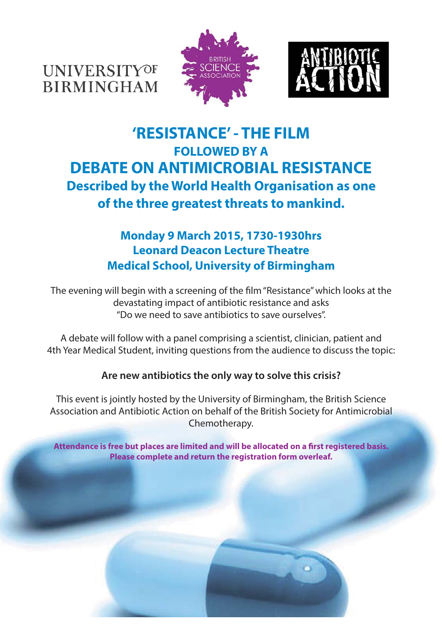**UNIVERSITYOF BIRMINGHAM** 





# **'RESISTANCE' - THE FILM FOLLOWED BY A DEBATE ON ANTIMICROBIAL RESISTANCE Described by the World Health Organisation as one of the three greatest threats to mankind.**

## **Monday 9 March 2015, 1730-1930hrs Leonard Deacon Lecture Theatre Medical School, University of Birmingham**

The evening will begin with a screening of the film "Resistance" which looks at the devastating impact of antibiotic resistance and asks "Do we need to save antibiotics to save ourselves".

A debate will follow with a panel comprising a scientist, clinician, patient and 4th Year Medical Student, inviting questions from the audience to discuss the topic:

## **Are new antibiotics the only way to solve this crisis?**

This event is jointly hosted by the University of Birmingham, the British Science Association and Antibiotic Action on behalf of the British Society for Antimicrobial Chemotherapy.

Attendance is free but places are limited and will be allocated on a first registered basis. **Please complete and return the registration form overleaf.**